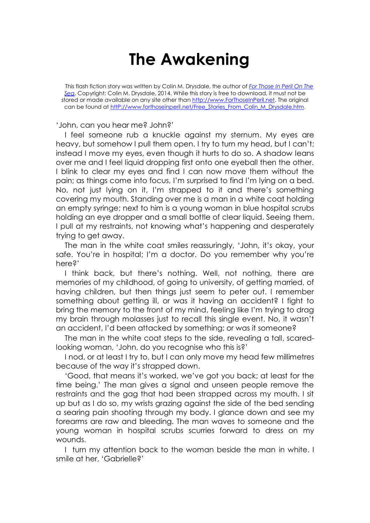## **The Awakening**

This flash fiction story was written by Colin M. Drysdale, the author of *[For Those In Peril On The](http://www.forthoseinperil.net/)  [Sea](http://www.forthoseinperil.net/)*. Copyright: Colin M. Drysdale, 2014. While this story is free to download, it must not be stored or made available on any site other than [http://www.ForThoseInPeril.net.](http://www.forthoseinperil.net/) The original can be found at [httP://www.forthoseinperil.net/Free\\_Stories\\_From\\_Colin\\_M\\_Drysdale.htm.](http://www.forthoseinperil.net/Free_Stories_From_Colin_M_Drysdale.htm)

'John, can you hear me? John?'

I feel someone rub a knuckle against my sternum. My eyes are heavy, but somehow I pull them open. I try to turn my head, but I can't; instead I move my eyes, even though it hurts to do so. A shadow leans over me and I feel liquid dropping first onto one eyeball then the other. I blink to clear my eyes and find I can now move them without the pain; as things come into focus, I'm surprised to find I'm lying on a bed. No, not just lying on it, I'm strapped to it and there's something covering my mouth. Standing over me is a man in a white coat holding an empty syringe; next to him is a young woman in blue hospital scrubs holding an eye dropper and a small bottle of clear liquid. Seeing them, I pull at my restraints, not knowing what's happening and desperately trying to get away.

The man in the white coat smiles reassuringly, 'John, it's okay, your safe. You're in hospital; I'm a doctor. Do you remember why you're here?'

I think back, but there's nothing. Well, not nothing, there are memories of my childhood, of going to university, of getting married, of having children, but then things just seem to peter out. I remember something about getting ill, or was it having an accident? I fight to bring the memory to the front of my mind, feeling like I'm trying to drag my brain through molasses just to recall this single event. No, it wasn't an accident, I'd been attacked by something; or was it someone?

The man in the white coat steps to the side, revealing a tall, scaredlooking woman, 'John, do you recognise who this is?'

I nod, or at least I try to, but I can only move my head few millimetres because of the way it's strapped down.

'Good, that means it's worked, we've got you back; at least for the time being.' The man gives a signal and unseen people remove the restraints and the gag that had been strapped across my mouth. I sit up but as I do so, my wrists grazing against the side of the bed sending a searing pain shooting through my body. I glance down and see my forearms are raw and bleeding. The man waves to someone and the young woman in hospital scrubs scurries forward to dress on my wounds.

I turn my attention back to the woman beside the man in white. I smile at her, 'Gabrielle?'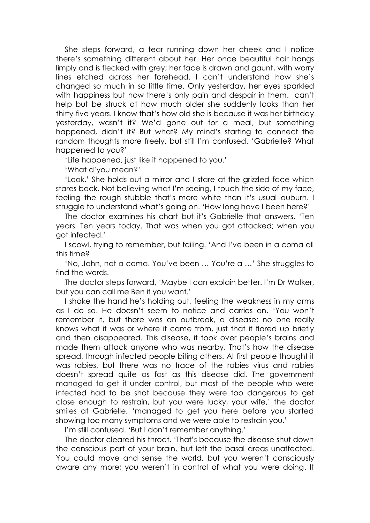She steps forward, a tear running down her cheek and I notice there's something different about her. Her once beautiful hair hangs limply and is flecked with grey; her face is drawn and gaunt, with worry lines etched across her forehead. I can't understand how she's changed so much in so little time. Only yesterday, her eyes sparkled with happiness but now there's only pain and despair in them. can't help but be struck at how much older she suddenly looks than her thirty-five years. I know that's how old she is because it was her birthday yesterday, wasn't it? We'd gone out for a meal, but something happened, didn't it? But what? My mind's starting to connect the random thoughts more freely, but still I'm confused. 'Gabrielle? What happened to you?'

'Life happened, just like it happened to you.'

'What d'you mean?'

'Look.' She holds out a mirror and I stare at the grizzled face which stares back. Not believing what I'm seeing, I touch the side of my face, feeling the rough stubble that's more white than it's usual auburn. I struggle to understand what's going on. 'How long have I been here?'

The doctor examines his chart but it's Gabrielle that answers. 'Ten years. Ten years today. That was when you got attacked; when you got infected.'

I scowl, trying to remember, but failing. 'And I've been in a coma all this time?

'No, John, not a coma. You've been … You're a …' She struggles to find the words.

The doctor steps forward, 'Maybe I can explain better. I'm Dr Walker, but you can call me Ben if you want.'

I shake the hand he's holding out, feeling the weakness in my arms as I do so. He doesn't seem to notice and carries on. 'You won't remember it, but there was an outbreak, a disease; no one really knows what it was or where it came from, just that it flared up briefly and then disappeared. This disease, it took over people's brains and made them attack anyone who was nearby. That's how the disease spread, through infected people biting others. At first people thought it was rabies, but there was no trace of the rabies virus and rabies doesn't spread quite as fast as this disease did. The government managed to get it under control, but most of the people who were infected had to be shot because they were too dangerous to get close enough to restrain, but you were lucky, your wife,' the doctor smiles at Gabrielle, 'managed to get you here before you started showing too many symptoms and we were able to restrain you.'

I'm still confused. 'But I don't remember anything.'

The doctor cleared his throat. 'That's because the disease shut down the conscious part of your brain, but left the basal areas unaffected. You could move and sense the world, but you weren't consciously aware any more; you weren't in control of what you were doing. It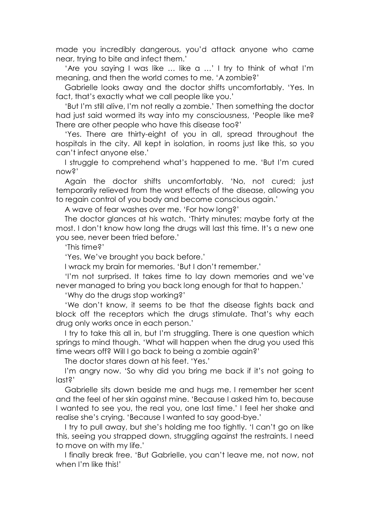made you incredibly dangerous, you'd attack anyone who came near, trying to bite and infect them.'

'Are you saying I was like … like a …' I try to think of what I'm meaning, and then the world comes to me. 'A zombie?'

Gabrielle looks away and the doctor shifts uncomfortably. 'Yes. In fact, that's exactly what we call people like you.'

'But I'm still alive, I'm not really a zombie.' Then something the doctor had just said wormed its way into my consciousness, 'People like me? There are other people who have this disease too?'

'Yes. There are thirty-eight of you in all, spread throughout the hospitals in the city. All kept in isolation, in rooms just like this, so you can't infect anyone else.'

I struggle to comprehend what's happened to me. 'But I'm cured now?'

Again the doctor shifts uncomfortably. 'No, not cured; just temporarily relieved from the worst effects of the disease, allowing you to regain control of you body and become conscious again.'

A wave of fear washes over me. 'For how long?'

The doctor glances at his watch. 'Thirty minutes; maybe forty at the most. I don't know how long the drugs will last this time. It's a new one you see, never been tried before.'

'This time?'

'Yes. We've brought you back before.'

I wrack my brain for memories. 'But I don't remember.'

'I'm not surprised. It takes time to lay down memories and we've never managed to bring you back long enough for that to happen.'

'Why do the drugs stop working?'

'We don't know, it seems to be that the disease fights back and block off the receptors which the drugs stimulate. That's why each drug only works once in each person.'

I try to take this all in, but I'm struggling. There is one question which springs to mind though. 'What will happen when the drug you used this time wears off? Will I go back to being a zombie again?'

The doctor stares down at his feet. 'Yes.'

I'm angry now. 'So why did you bring me back if it's not going to last?'

Gabrielle sits down beside me and hugs me. I remember her scent and the feel of her skin against mine. 'Because I asked him to, because I wanted to see you, the real you, one last time.' I feel her shake and realise she's crying. 'Because I wanted to say good-bye.'

I try to pull away, but she's holding me too tightly. 'I can't go on like this, seeing you strapped down, struggling against the restraints. I need to move on with my life.'

I finally break free. 'But Gabrielle, you can't leave me, not now, not when I'm like this!'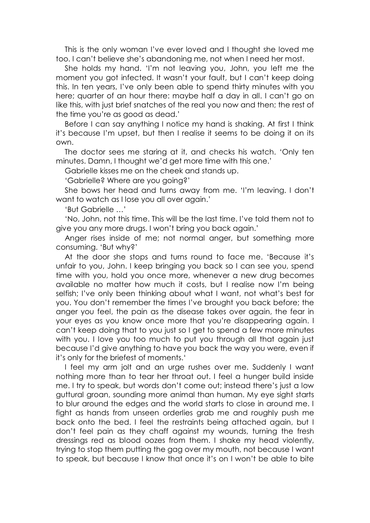This is the only woman I've ever loved and I thought she loved me too. I can't believe she's abandoning me, not when I need her most.

She holds my hand. 'I'm not leaving you, John, you left me the moment you got infected. It wasn't your fault, but I can't keep doing this. In ten years, I've only been able to spend thirty minutes with you here; quarter of an hour there: maybe half a day in all. I can't go on like this, with just brief snatches of the real you now and then; the rest of the time you're as good as dead.'

Before I can say anything I notice my hand is shaking. At first I think it's because I'm upset, but then I realise it seems to be doing it on its own.

The doctor sees me staring at it, and checks his watch. 'Only ten minutes. Damn, I thought we'd get more time with this one.'

Gabrielle kisses me on the cheek and stands up.

'Gabrielle? Where are you going?'

She bows her head and turns away from me. 'I'm leaving. I don't want to watch as I lose you all over again.'

'But Gabrielle …'

'No, John, not this time. This will be the last time. I've told them not to give you any more drugs. I won't bring you back again.'

Anger rises inside of me; not normal anger, but something more consuming. 'But why?'

At the door she stops and turns round to face me. 'Because it's unfair to you, John. I keep bringing you back so I can see you, spend time with you, hold you once more, whenever a new drug becomes available no matter how much it costs, but I realise now I'm being selfish; I've only been thinking about what I want, not what's best for you. You don't remember the times I've brought you back before; the anger you feel, the pain as the disease takes over again, the fear in your eyes as you know once more that you're disappearing again. I can't keep doing that to you just so I get to spend a few more minutes with you. I love you too much to put you through all that again just because I'd give anything to have you back the way you were, even if it's only for the briefest of moments.'

I feel my arm jolt and an urge rushes over me. Suddenly I want nothing more than to tear her throat out. I feel a hunger build inside me. I try to speak, but words don't come out; instead there's just a low guttural groan, sounding more animal than human. My eye sight starts to blur around the edges and the world starts to close in around me. I fight as hands from unseen orderlies grab me and roughly push me back onto the bed. I feel the restraints being attached again, but I don't feel pain as they chaff against my wounds, turning the fresh dressings red as blood oozes from them. I shake my head violently, trying to stop them putting the gag over my mouth, not because I want to speak, but because I know that once it's on I won't be able to bite